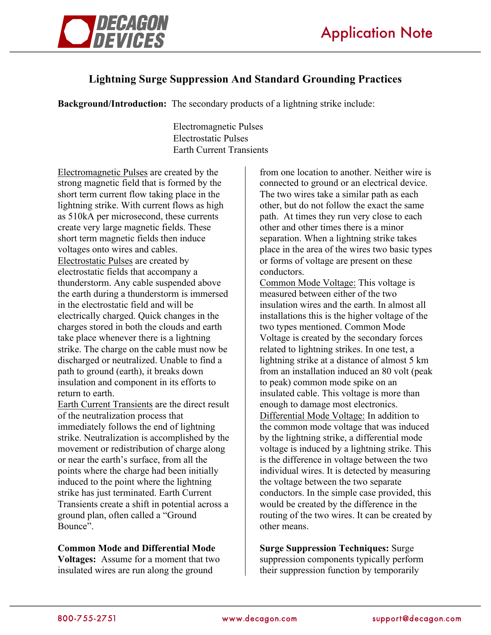

## **Lightning Surge Suppression And Standard Grounding Practices**

**Background/Introduction:** The secondary products of a lightning strike include:

 Electromagnetic Pulses Electrostatic Pulses Earth Current Transients

Electromagnetic Pulses are created by the strong magnetic field that is formed by the short term current flow taking place in the lightning strike. With current flows as high as 510kA per microsecond, these currents create very large magnetic fields. These short term magnetic fields then induce voltages onto wires and cables. Electrostatic Pulses are created by electrostatic fields that accompany a thunderstorm. Any cable suspended above the earth during a thunderstorm is immersed in the electrostatic field and will be electrically charged. Quick changes in the charges stored in both the clouds and earth take place whenever there is a lightning strike. The charge on the cable must now be discharged or neutralized. Unable to find a path to ground (earth), it breaks down insulation and component in its efforts to return to earth.

Earth Current Transients are the direct result of the neutralization process that immediately follows the end of lightning strike. Neutralization is accomplished by the movement or redistribution of charge along or near the earth's surface, from all the points where the charge had been initially induced to the point where the lightning strike has just terminated. Earth Current Transients create a shift in potential across a ground plan, often called a "Ground Bounce".

## **Common Mode and Differential Mode**

**Voltages:** Assume for a moment that two insulated wires are run along the ground

from one location to another. Neither wire is connected to ground or an electrical device. The two wires take a similar path as each other, but do not follow the exact the same path. At times they run very close to each other and other times there is a minor separation. When a lightning strike takes place in the area of the wires two basic types or forms of voltage are present on these conductors.

Common Mode Voltage: This voltage is measured between either of the two insulation wires and the earth. In almost all installations this is the higher voltage of the two types mentioned. Common Mode Voltage is created by the secondary forces related to lightning strikes. In one test, a lightning strike at a distance of almost 5 km from an installation induced an 80 volt (peak to peak) common mode spike on an insulated cable. This voltage is more than enough to damage most electronics. Differential Mode Voltage: In addition to the common mode voltage that was induced by the lightning strike, a differential mode voltage is induced by a lightning strike. This is the difference in voltage between the two individual wires. It is detected by measuring the voltage between the two separate conductors. In the simple case provided, this would be created by the difference in the routing of the two wires. It can be created by other means.

**Surge Suppression Techniques:** Surge suppression components typically perform their suppression function by temporarily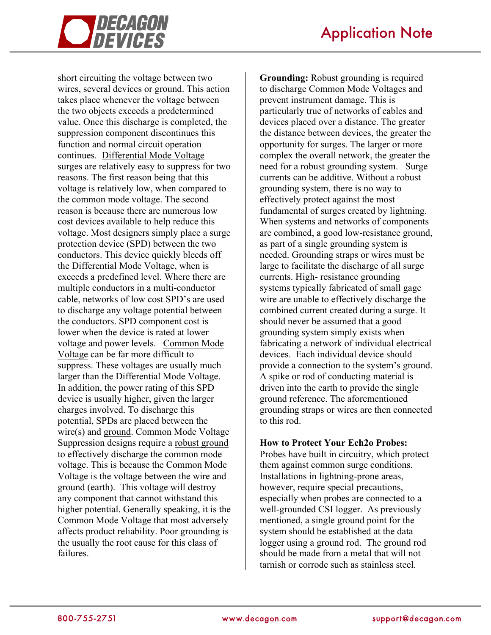

short circuiting the voltage between two wires, several devices or ground. This action takes place whenever the voltage between the two objects exceeds a predetermined value. Once this discharge is completed, the suppression component discontinues this function and normal circuit operation continues. Differential Mode Voltage surges are relatively easy to suppress for two reasons. The first reason being that this voltage is relatively low, when compared to the common mode voltage. The second reason is because there are numerous low cost devices available to help reduce this voltage. Most designers simply place a surge protection device (SPD) between the two conductors. This device quickly bleeds off the Differential Mode Voltage, when is exceeds a predefined level. Where there are multiple conductors in a multi-conductor cable, networks of low cost SPD's are used to discharge any voltage potential between the conductors. SPD component cost is lower when the device is rated at lower voltage and power levels. Common Mode Voltage can be far more difficult to suppress. These voltages are usually much larger than the Differential Mode Voltage. In addition, the power rating of this SPD device is usually higher, given the larger charges involved. To discharge this potential, SPDs are placed between the wire(s) and ground. Common Mode Voltage Suppression designs require a robust ground to effectively discharge the common mode voltage. This is because the Common Mode Voltage is the voltage between the wire and ground (earth). This voltage will destroy any component that cannot withstand this higher potential. Generally speaking, it is the Common Mode Voltage that most adversely affects product reliability. Poor grounding is the usually the root cause for this class of failures.

**Grounding:** Robust grounding is required to discharge Common Mode Voltages and prevent instrument damage. This is particularly true of networks of cables and devices placed over a distance. The greater the distance between devices, the greater the opportunity for surges. The larger or more complex the overall network, the greater the need for a robust grounding system. Surge currents can be additive. Without a robust grounding system, there is no way to effectively protect against the most fundamental of surges created by lightning. When systems and networks of components are combined, a good low-resistance ground, as part of a single grounding system is needed. Grounding straps or wires must be large to facilitate the discharge of all surge currents. High- resistance grounding systems typically fabricated of small gage wire are unable to effectively discharge the combined current created during a surge. It should never be assumed that a good grounding system simply exists when fabricating a network of individual electrical devices. Each individual device should provide a connection to the system's ground. A spike or rod of conducting material is driven into the earth to provide the single ground reference. The aforementioned grounding straps or wires are then connected to this rod.

## **How to Protect Your Ech2o Probes:**

Probes have built in circuitry, which protect them against common surge conditions. Installations in lightning-prone areas, however, require special precautions, especially when probes are connected to a well-grounded CSI logger. As previously mentioned, a single ground point for the system should be established at the data logger using a ground rod. The ground rod should be made from a metal that will not tarnish or corrode such as stainless steel.